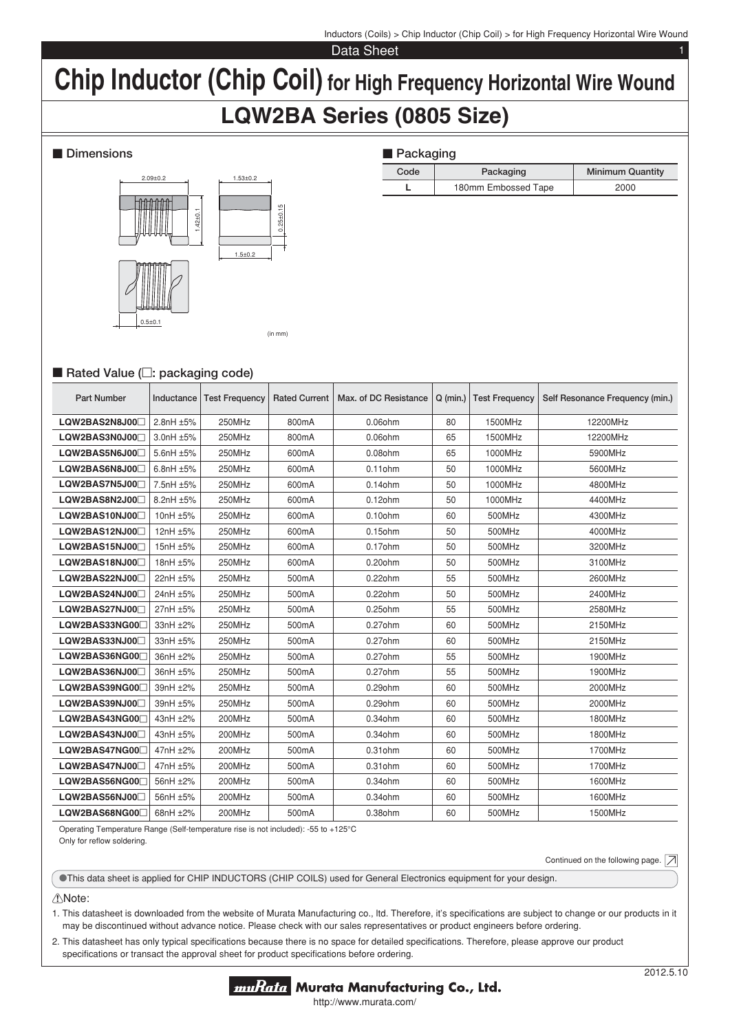Inductors (Coils) > Chip Inductor (Chip Coil) > for High Frequency Horizontal Wire Wound

Data Sheet

# **Chip Inductor (Chip Coil) for High Frequency Horizontal Wire Wound**

# **LQW2BA Series (0805 Size)**

## $\blacksquare$  Dimensions



| <b>Packaging</b> |                     |                         |  |  |  |  |
|------------------|---------------------|-------------------------|--|--|--|--|
| Code             | Packaging           | <b>Minimum Quantity</b> |  |  |  |  |
|                  | 180mm Embossed Tape | 2000                    |  |  |  |  |

# ■ Rated Value (□: packaging code)

| <b>Part Number</b> | Inductance     | <b>Test Frequency</b> | <b>Rated Current</b> | Max, of DC Resistance | $Q$ (min.) | <b>Test Frequency</b> | Self Resonance Frequency (min.) |
|--------------------|----------------|-----------------------|----------------------|-----------------------|------------|-----------------------|---------------------------------|
| LQW2BAS2N8J00      | $2.8nH \pm 5%$ | 250MHz                | 800mA                | $0.06$ ohm            | 80         | 1500MHz               | 12200MHz                        |
| LQW2BAS3N0J00      | 3.0nH ±5%      | 250MHz                | 800mA                | $0.06$ ohm            | 65         | 1500MHz               | 12200MHz                        |
| LQW2BAS5N6J00      | 5.6nH ±5%      | 250MHz                | 600mA                | 0.08ohm               | 65         | 1000MHz               | 5900MHz                         |
| LQW2BAS6N8J00      | 6.8nH $\pm 5%$ | 250MHz                | 600mA                | $0.11$ ohm            | 50         | 1000MHz               | 5600MHz                         |
| LQW2BAS7N5J00      | 7.5nH ±5%      | 250MHz                | 600mA                | $0.14$ ohm            | 50         | 1000MHz               | 4800MHz                         |
| LQW2BAS8N2J00      | 8.2nH ±5%      | 250MHz                | 600mA                | $0.12$ ohm            | 50         | 1000MHz               | 4400MHz                         |
| LQW2BAS10NJ00      | 10nH ±5%       | 250MHz                | 600mA                | $0.10$ ohm            | 60         | 500MHz                | 4300MHz                         |
| LQW2BAS12NJ00      | 12nH ±5%       | 250MHz                | 600mA                | 0.15ohm               | 50         | 500MHz                | 4000MHz                         |
| LQW2BAS15NJ00      | 15nH ±5%       | 250MHz                | 600mA                | $0.17$ ohm            | 50         | 500MHz                | 3200MHz                         |
| LQW2BAS18NJ00      | 18nH ±5%       | 250MHz                | 600mA                | $0.20$ ohm            | 50         | 500MHz                | 3100MHz                         |
| LQW2BAS22NJ00      | 22nH ±5%       | 250MHz                | 500mA                | $0.22$ ohm            | 55         | 500MHz                | 2600MHz                         |
| LQW2BAS24NJ00      | 24nH ±5%       | 250MHz                | 500mA                | $0.22$ ohm            | 50         | 500MHz                | 2400MHz                         |
| LQW2BAS27NJ00      | 27nH ±5%       | 250MHz                | 500mA                | 0.25ohm               | 55         | 500MHz                | 2580MHz                         |
| LQW2BAS33NG00      | 33nH ±2%       | 250MHz                | 500mA                | 0.27ohm               | 60         | 500MHz                | 2150MHz                         |
| LQW2BAS33NJ00      | 33nH ±5%       | 250MHz                | 500mA                | 0.27ohm               | 60         | 500MHz                | 2150MHz                         |
| LQW2BAS36NG00      | 36nH ±2%       | 250MHz                | 500 <sub>m</sub> A   | 0.27ohm               | 55         | 500MHz                | 1900MHz                         |
| LQW2BAS36NJ00      | 36nH ±5%       | 250MHz                | 500mA                | 0.27ohm               | 55         | 500MHz                | 1900MHz                         |
| LQW2BAS39NG00      | 39nH ±2%       | 250MHz                | 500mA                | 0.29ohm               | 60         | 500MHz                | 2000MHz                         |
| LQW2BAS39NJ00      | 39nH ±5%       | 250MHz                | 500mA                | $0.29$ ohm            | 60         | 500MHz                | 2000MHz                         |
| LQW2BAS43NG00      | 43nH ±2%       | 200MHz                | 500mA                | $0.34$ ohm            | 60         | 500MHz                | 1800MHz                         |
| LQW2BAS43NJ00      | 43nH ±5%       | 200MHz                | 500mA                | 0.34ohm               | 60         | 500MHz                | 1800MHz                         |
| LQW2BAS47NG00      | 47nH ±2%       | 200MHz                | 500mA                | 0.31 ohm              | 60         | 500MHz                | 1700MHz                         |
| LQW2BAS47NJ00      | 47nH ±5%       | 200MHz                | 500mA                | 0.31 ohm              | 60         | 500MHz                | 1700MHz                         |
| LQW2BAS56NG00      | 56nH ±2%       | 200MHz                | 500 <sub>m</sub> A   | 0.34ohm               | 60         | 500MHz                | 1600MHz                         |
| LQW2BAS56NJ00      | 56nH ±5%       | 200MHz                | 500mA                | 0.34ohm               | 60         | 500MHz                | 1600MHz                         |
| LQW2BAS68NG00      | 68nH ±2%       | 200MHz                | 500mA                | 0.38ohm               | 60         | 500MHz                | 1500MHz                         |

Operating Temperature Range (Self-temperature rise is not included): -55 to +125°C Only for reflow soldering

Continued on the following page.  $\boxed{\nearrow}$ 

oThis data sheet is applied for CHIP INDUCTORS (CHIP COILS) used for General Electronics equipment for your design.

#### !Note:

1. This datasheet is downloaded from the website of Murata Manufacturing co., Itd. Therefore, it's specifications are subject to change or our products in it may be discontinued without advance notice. Please check with our sales representatives or product engineers before ordering.

2. This datasheet has only typical specifications because there is no space for detailed specifications. Therefore, please approve our product specifications or transact the approval sheet for product specifications before ordering.

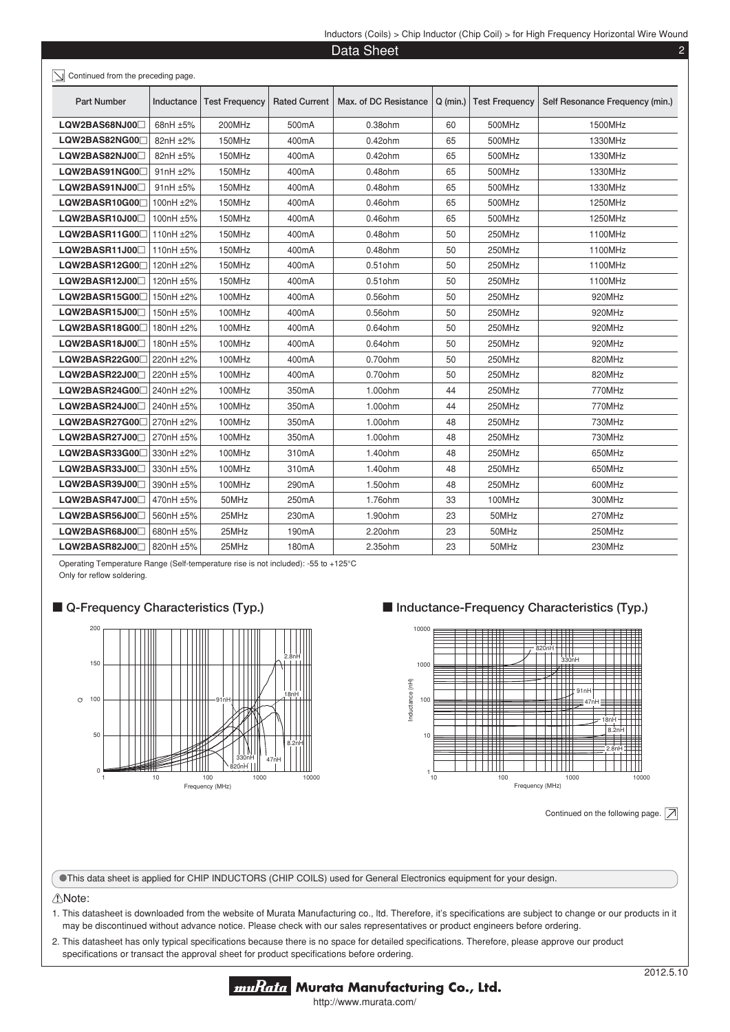|                                    |            |                       |                      | Data Sheet            |            |                       |                                 |
|------------------------------------|------------|-----------------------|----------------------|-----------------------|------------|-----------------------|---------------------------------|
| Continued from the preceding page. |            |                       |                      |                       |            |                       |                                 |
| <b>Part Number</b>                 | Inductance | <b>Test Frequency</b> | <b>Rated Current</b> | Max. of DC Resistance | $Q$ (min.) | <b>Test Frequency</b> | Self Resonance Frequency (min.) |
| LQW2BAS68NJ00                      | 68nH ±5%   | 200MHz                | 500mA                | 0.38ohm               | 60         | 500MHz                | 1500MHz                         |
| LQW2BAS82NG00 <sup>1</sup>         | 82nH ±2%   | 150MHz                | 400mA                | $0.42$ ohm            | 65         | 500MHz                | 1330MHz                         |
| LQW2BAS82NJ00                      | 82nH ±5%   | 150MHz                | 400mA                | $0.42$ ohm            | 65         | 500MHz                | 1330MHz                         |
| LQW2BAS91NG00                      | 91nH ±2%   | 150MHz                | 400mA                | 0.48ohm               | 65         | 500MHz                | 1330MHz                         |
| LQW2BAS91NJ00                      | 91nH ±5%   | 150MHz                | 400mA                | $0.48$ ohm            | 65         | 500MHz                | 1330MHz                         |
| LQW2BASR10G00 <sup>[1]</sup>       | 100nH ±2%  | 150MHz                | 400mA                | 0.46ohm               | 65         | 500MHz                | 1250MHz                         |
| LQW2BASR10J00                      | 100nH ±5%  | 150MHz                | 400mA                | 0.46ohm               | 65         | 500MHz                | 1250MHz                         |
| $LQW2BASR11G00\Box$                | 110nH ±2%  | 150MHz                | 400mA                | $0.48$ ohm            | 50         | 250MHz                | 1100MHz                         |
| LQW2BASR11J00                      | 110nH ±5%  | 150MHz                | 400mA                | 0.48ohm               | 50         | 250MHz                | 1100MHz                         |
| LQW2BASR12G00 <sup>[1</sup>        | 120nH ±2%  | 150MHz                | 400mA                | $0.51$ ohm            | 50         | 250MHz                | 1100MHz                         |
| LQW2BASR12J00                      | 120nH ±5%  | 150MHz                | 400mA                | $0.51$ ohm            | 50         | 250MHz                | 1100MHz                         |
| LQW2BASR15G00al                    | 150nH ±2%  | 100MHz                | 400mA                | 0.56ohm               | 50         | 250MHz                | 920MHz                          |
| LQW2BASR15J00                      | 150nH ±5%  | 100MHz                | 400mA                | 0.56ohm               | 50         | 250MHz                | 920MHz                          |
| LQW2BASR18G00A                     | 180nH ±2%  | 100MHz                | 400mA                | 0.64ohm               | 50         | 250MHz                | 920MHz                          |
| LQW2BASR18J00                      | 180nH ±5%  | 100MHz                | 400mA                | 0.64ohm               | 50         | 250MHz                | 920MHz                          |
| LQW2BASR22G00 <sup>[1]</sup>       | 220nH ±2%  | 100MHz                | 400mA                | 0.70ohm               | 50         | 250MHz                | 820MHz                          |
| LQW2BASR22J000                     | 220nH ±5%  | 100MHz                | 400mA                | 0.70ohm               | 50         | 250MHz                | 820MHz                          |
| LQW2BASR24G00 <sup>[1]</sup>       | 240nH ±2%  | 100MHz                | 350mA                | 1.00ohm               | 44         | 250MHz                | 770MHz                          |
| LQW2BASR24J00                      | 240nH ±5%  | 100MHz                | 350mA                | 1.00ohm               | 44         | 250MHz                | 770MHz                          |
| $LQW2BASR27G00 \Box$               | 270nH ±2%  | 100MHz                | 350mA                | 1.00ohm               | 48         | 250MHz                | 730MHz                          |
| LQW2BASR27J00                      | 270nH ±5%  | 100MHz                | 350mA                | 1.00ohm               | 48         | 250MHz                | 730MHz                          |
| LQW2BASR33G00 <sup>1</sup>         | 330nH ±2%  | 100MHz                | 310mA                | 1.40ohm               | 48         | 250MHz                | 650MHz                          |
| LQW2BASR33J00                      | 330nH ±5%  | 100MHz                | 310mA                | 1.40ohm               | 48         | 250MHz                | 650MHz                          |
| LQW2BASR39J00                      | 390nH ±5%  | 100MHz                | 290mA                | 1.50ohm               | 48         | 250MHz                | 600MHz                          |
| LQW2BASR47J00                      | 470nH ±5%  | 50MHz                 | 250mA                | 1.76ohm               | 33         | 100MHz                | 300MHz                          |
| LQW2BASR56J00                      | 560nH ±5%  | 25MHz                 | 230mA                | 1.90ohm               | 23         | 50MHz                 | 270MHz                          |
| LQW2BASR68J00                      | 680nH ±5%  | 25MHz                 | 190mA                | 2.20ohm               | 23         | 50MHz                 | 250MHz                          |
| LQW2BASR82J00                      | 820nH ±5%  | 25MHz                 | 180mA                | 2.35ohm               | 23         | 50MHz                 | 230MHz                          |

Operating Temperature Range (Self-temperature rise is not included): -55 to +125°C Only for reflow soldering.





■ Inductance-Frequency Characteristics (Typ.)



Continued on the following page.  $\boxed{\nearrow}$ 

oThis data sheet is applied for CHIP INDUCTORS (CHIP COILS) used for General Electronics equipment for your design.

#### !Note:

1. This datasheet is downloaded from the website of Murata Manufacturing co., Itd. Therefore, it's specifications are subject to change or our products in it may be discontinued without advance notice. Please check with our sales representatives or product engineers before ordering.

2. This datasheet has only typical specifications because there is no space for detailed specifications. Therefore, please approve our product specifications or transact the approval sheet for product specifications before ordering.